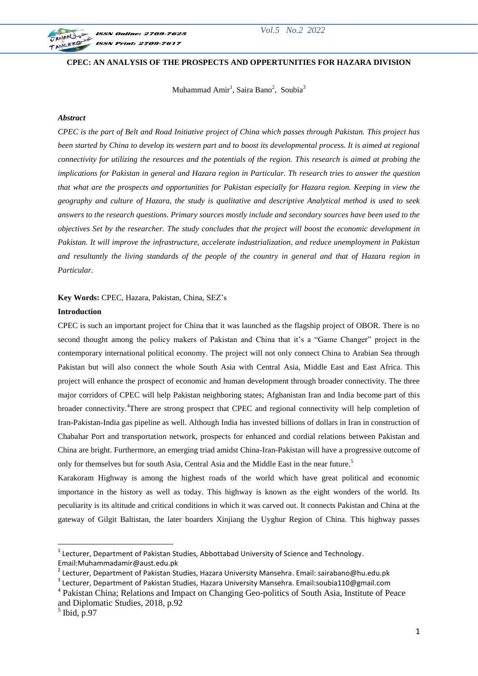

## **CPEC: AN ANALYSIS OF THE PROSPECTS AND OPPERTUNITIES FOR HAZARA DIVISION**

Muhammad Amir<sup>1</sup>, Saira Bano<sup>2</sup>, Soubia<sup>3</sup>

# *Abstract*

*CPEC is the part of Belt and Road Initiative project of China which passes through Pakistan. This project has been started by China to develop its western part and to boost its developmental process. It is aimed at regional connectivity for utilizing the resources and the potentials of the region. This research is aimed at probing the implications for Pakistan in general and Hazara region in Particular. Th research tries to answer the question that what are the prospects and opportunities for Pakistan especially for Hazara region. Keeping in view the geography and culture of Hazara, the study is qualitative and descriptive Analytical method is used to seek answers to the research questions. Primary sources mostly include and secondary sources have been used to the objectives Set by the researcher. The study concludes that the project will boost the economic development in Pakistan. It will improve the infrastructure, accelerate industrialization, and reduce unemployment in Pakistan and resultantly the living standards of the people of the country in general and that of Hazara region in Particular.*

**Key Words:** CPEC, Hazara, Pakistan, China, SEZ's

## **Introduction**

CPEC is such an important project for China that it was launched as the flagship project of OBOR. There is no second thought among the policy makers of Pakistan and China that it's a "Game Changer" project in the contemporary international political economy. The project will not only connect China to Arabian Sea through Pakistan but will also connect the whole South Asia with Central Asia, Middle East and East Africa. This project will enhance the prospect of economic and human development through broader connectivity. The three major corridors of CPEC will help Pakistan neighboring states; Afghanistan Iran and India become part of this broader connectivity.<sup>4</sup>There are strong prospect that CPEC and regional connectivity will help completion of Iran-Pakistan-India gas pipeline as well. Although India has invested billions of dollars in Iran in construction of Chabahar Port and transportation network, prospects for enhanced and cordial relations between Pakistan and China are bright. Furthermore, an emerging triad amidst China-Iran-Pakistan will have a progressive outcome of only for themselves but for south Asia, Central Asia and the Middle East in the near future.<sup>5</sup>

Karakoram Highway is among the highest roads of the world which have great political and economic importance in the history as well as today. This highway is known as the eight wonders of the world. Its peculiarity is its altitude and critical conditions in which it was carved out. It connects Pakistan and China at the gateway of Gilgit Baltistan, the later boarders Xinjiang the Uyghur Region of China. This highway passes

 1 Lecturer, Department of Pakistan Studies, Abbottabad University of Science and Technology.

Email:Muhammadamir@aust.edu.pk

<sup>&</sup>lt;sup>2</sup> Lecturer, Department of Pakistan Studies, Hazara University Mansehra. Email: sairabano@hu.edu.pk

 $3$  Lecturer, Department of Pakistan Studies, Hazara University Mansehra. Email:soubia110@gmail.com

<sup>&</sup>lt;sup>4</sup> Pakistan China; Relations and Impact on Changing Geo-politics of South Asia, Institute of Peace and Diplomatic Studies, 2018, p.92

 $<sup>5</sup>$  Ibid, p.97</sup>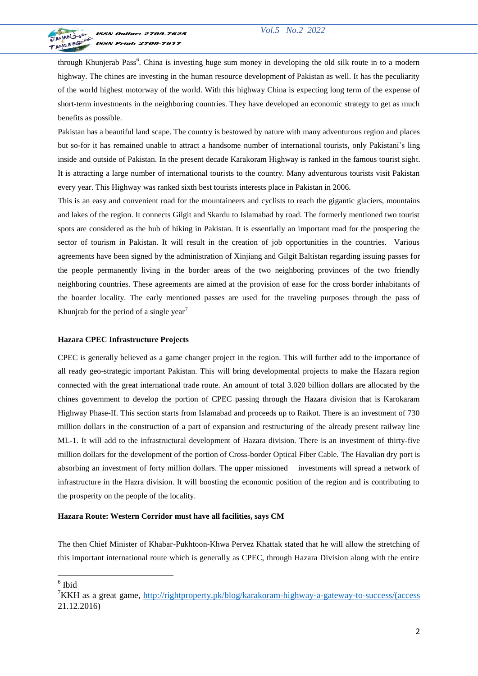

through Khunjerab Pass<sup>6</sup>. China is investing huge sum money in developing the old silk route in to a modern highway. The chines are investing in the human resource development of Pakistan as well. It has the peculiarity of the world highest motorway of the world. With this highway China is expecting long term of the expense of short-term investments in the neighboring countries. They have developed an economic strategy to get as much benefits as possible.

Pakistan has a beautiful land scape. The country is bestowed by nature with many adventurous region and places but so-for it has remained unable to attract a handsome number of international tourists, only Pakistani's ling inside and outside of Pakistan. In the present decade Karakoram Highway is ranked in the famous tourist sight. It is attracting a large number of international tourists to the country. Many adventurous tourists visit Pakistan every year. This Highway was ranked sixth best tourists interests place in Pakistan in 2006.

This is an easy and convenient road for the mountaineers and cyclists to reach the gigantic glaciers, mountains and lakes of the region. It connects Gilgit and Skardu to Islamabad by road. The formerly mentioned two tourist spots are considered as the hub of hiking in Pakistan. It is essentially an important road for the prospering the sector of tourism in Pakistan. It will result in the creation of job opportunities in the countries. Various agreements have been signed by the administration of Xinjiang and Gilgit Baltistan regarding issuing passes for the people permanently living in the border areas of the two neighboring provinces of the two friendly neighboring countries. These agreements are aimed at the provision of ease for the cross border inhabitants of the boarder locality. The early mentioned passes are used for the traveling purposes through the pass of Khunjrab for the period of a single year<sup>7</sup>

#### **Hazara CPEC Infrastructure Projects**

CPEC is generally believed as a game changer project in the region. This will further add to the importance of all ready geo-strategic important Pakistan. This will bring developmental projects to make the Hazara region connected with the great international trade route. An amount of total 3.020 billion dollars are allocated by the chines government to develop the portion of CPEC passing through the Hazara division that is Karokaram Highway Phase-II. This section starts from Islamabad and proceeds up to Raikot. There is an investment of 730 million dollars in the construction of a part of expansion and restructuring of the already present railway line ML-1. It will add to the infrastructural development of Hazara division. There is an investment of thirty-five million dollars for the development of the portion of Cross-border Optical Fiber Cable. The Havalian dry port is absorbing an investment of forty million dollars. The upper missioned investments will spread a network of infrastructure in the Hazra division. It will boosting the economic position of the region and is contributing to the prosperity on the people of the locality.

#### **[Hazara Route: Western Corridor must have all facilities, says CM](https://tribune.com.pk/story/1093226/hazara-route-western-corridor-must-have-all-facilities-says-cm/)**

The then Chief Minister of Khabar-Pukhtoon-Khwa Pervez Khattak stated that he will allow the stretching of this important international route which is generally as CPEC, through Hazara Division along with the entire

<sup>6</sup> Ibid

<sup>7</sup>KKH as a great game, [http://rightproperty.pk/blog/karakoram-highway-a-gateway-to-success/\(access](http://rightproperty.pk/blog/karakoram-highway-a-gateway-to-success/(access) 21.12.2016)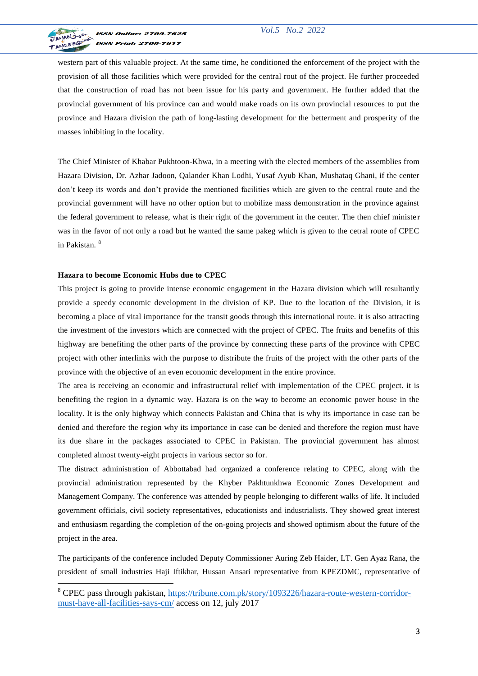

western part of this valuable project. At the same time, he conditioned the enforcement of the project with the provision of all those facilities which were provided for the central rout of the project. He further proceeded that the construction of road has not been issue for his party and government. He further added that the provincial government of his province can and would make roads on its own provincial resources to put the province and Hazara division the path of long-lasting development for the betterment and prosperity of the masses inhibiting in the locality.

The Chief Minister of Khabar Pukhtoon-Khwa, in a meeting with the elected members of the assemblies from Hazara Division, Dr. Azhar Jadoon, Qalander Khan Lodhi, Yusaf Ayub Khan, Mushataq Ghani, if the center don't keep its words and don't provide the mentioned facilities which are given to the central route and the provincial government will have no other option but to mobilize mass demonstration in the province against the federal government to release, what is their right of the government in the center. The then chief ministe r was in the favor of not only a road but he wanted the same pakeg which is given to the cetral route of CPEC in Pakistan. <sup>8</sup>

## **Hazara to become Economic Hubs due to CPEC**

This project is going to provide intense economic engagement in the Hazara division which will resultantly provide a speedy economic development in the division of KP. Due to the location of the Division, it is becoming a place of vital importance for the transit goods through this international route. it is also attracting the investment of the investors which are connected with the project of CPEC. The fruits and benefits of this highway are benefiting the other parts of the province by connecting these parts of the province with CPEC project with other interlinks with the purpose to distribute the fruits of the project with the other parts of the province with the objective of an even economic development in the entire province.

The area is receiving an economic and infrastructural relief with implementation of the CPEC project. it is benefiting the region in a dynamic way. Hazara is on the way to become an economic power house in the locality. It is the only highway which connects Pakistan and China that is why its importance in case can be denied and therefore the region why its importance in case can be denied and therefore the region must have its due share in the packages associated to CPEC in Pakistan. The provincial government has almost completed almost twenty-eight projects in various sector so for.

The distract administration of Abbottabad had organized a conference relating to CPEC, along with the provincial administration represented by the Khyber Pakhtunkhwa Economic Zones Development and Management Company. The conference was attended by people belonging to different walks of life. It included government officials, civil society representatives, educationists and industrialists. They showed great interest and enthusiasm regarding the completion of the on-going projects and showed optimism about the future of the project in the area.

The participants of the conference included Deputy Commissioner Auring Zeb Haider, LT. Gen Ayaz Rana, the president of small industries Haji Iftikhar, Hussan Ansari representative from KPEZDMC, representative of

<sup>8</sup> CPEC pass through pakistan, [https://tribune.com.pk/story/1093226/hazara-route-western-corridor](https://tribune.com.pk/story/1093226/hazara-route-western-corridor-must-have-all-facilities-says-cm/)[must-have-all-facilities-says-cm/](https://tribune.com.pk/story/1093226/hazara-route-western-corridor-must-have-all-facilities-says-cm/) access on 12, july 2017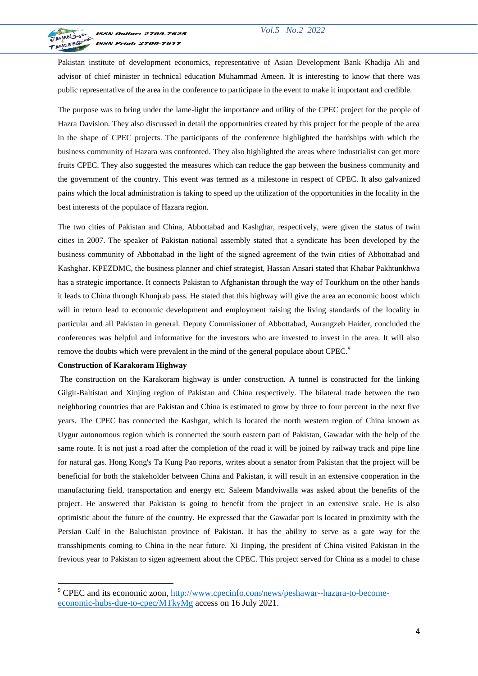

Pakistan institute of development economics, representative of Asian Development Bank Khadija Ali and advisor of chief minister in technical education Muhammad Ameen. It is interesting to know that there was public representative of the area in the conference to participate in the event to make it important and credible.

The purpose was to bring under the lame-light the importance and utility of the CPEC project for the people of Hazra Davision. They also discussed in detail the opportunities created by this project for the people of the area in the shape of CPEC projects. The participants of the conference highlighted the hardships with which the business community of Hazara was confronted. They also highlighted the areas where industrialist can get more fruits CPEC. They also suggested the measures which can reduce the gap between the business community and the government of the country. This event was termed as a milestone in respect of CPEC. It also galvanized pains which the local administration is taking to speed up the utilization of the opportunities in the locality in the best interests of the populace of Hazara region.

The two cities of Pakistan and China, Abbottabad and Kashghar, respectively, were given the status of twin cities in 2007. The speaker of Pakistan national assembly stated that a syndicate has been developed by the business community of Abbottabad in the light of the signed agreement of the twin cities of Abbottabad and Kashghar. KPEZDMC, the business planner and chief strategist, Hassan Ansari stated that Khabar Pakhtunkhwa has a strategic importance. It connects Pakistan to Afghanistan through the way of Tourkhum on the other hands it leads to China through Khunjrab pass. He stated that this highway will give the area an economic boost which will in return lead to economic development and employment raising the living standards of the locality in particular and all Pakistan in general. Deputy Commissioner of Abbottabad, Aurangzeb Haider, concluded the conferences was helpful and informative for the investors who are invested to invest in the area. It will also remove the doubts which were prevalent in the mind of the general populace about CPEC.<sup>9</sup>

#### **Construction of Karakoram Highway**

1

The construction on the Karakoram highway is under construction. A tunnel is constructed for the linking Gilgit-Baltistan and Xinjing region of Pakistan and China respectively. The bilateral trade between the two neighboring countries that are Pakistan and China is estimated to grow by three to four percent in the next five years. The CPEC has connected the Kashgar, which is located the north western region of China known as Uygur autonomous region which is connected the south eastern part of Pakistan, Gawadar with the help of the same route. It is not just a road after the completion of the road it will be joined by railway track and pipe line for natural gas. Hong Kong's Ta Kung Pao reports, writes about a senator from Pakistan that the project will be beneficial for both the stakeholder between China and Pakistan, it will result in an extensive cooperation in the manufacturing field, transportation and energy etc. Saleem Mandviwalla was asked about the benefits of the project. He answered that Pakistan is going to benefit from the project in an extensive scale. He is also optimistic about the future of the country. He expressed that the Gawadar port is located in proximity with the Persian Gulf in the Baluchistan province of Pakistan. It has the ability to serve as a gate way for the transshipments coming to China in the near future. Xi Jinping, the president of China visited Pakistan in the frevious year to Pakistan to sigen agreement about the CPEC. This project served for China as a model to chase

<sup>&</sup>lt;sup>9</sup> CPEC and its economic zoon[, http://www.cpecinfo.com/news/peshawar--hazara-to-become](http://www.cpecinfo.com/news/peshawar--hazara-to-become-economic-hubs-due-to-cpec/MTkyMg)[economic-hubs-due-to-cpec/MTkyMg](http://www.cpecinfo.com/news/peshawar--hazara-to-become-economic-hubs-due-to-cpec/MTkyMg) access on 16 July 2021.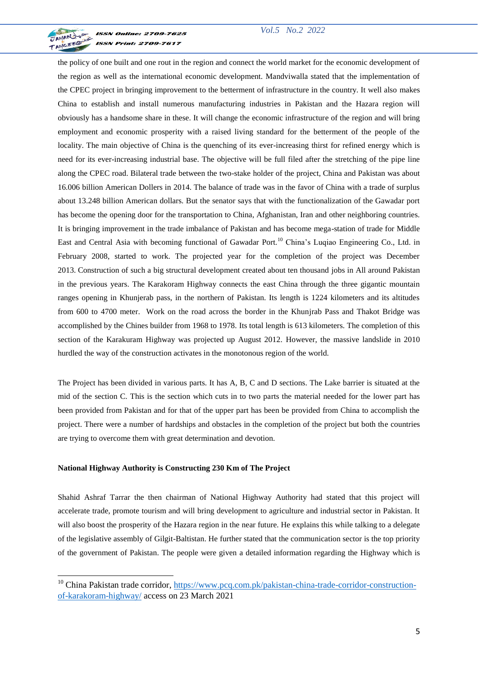

**ISSN Online: 2709-7625 ISSN Print: 2709-7617** 

the policy of one built and one rout in the region and connect the world market for the economic development of the region as well as the international economic development. Mandviwalla stated that the implementation of the CPEC project in bringing improvement to the betterment of infrastructure in the country. It well also makes China to establish and install numerous manufacturing industries in Pakistan and the Hazara region will obviously has a handsome share in these. It will change the economic infrastructure of the region and will bring employment and economic prosperity with a raised living standard for the betterment of the people of the locality. The main objective of China is the quenching of its ever-increasing thirst for refined energy which is need for its ever-increasing industrial base. The objective will be full filed after the stretching of the pipe line along the CPEC road. Bilateral trade between the two-stake holder of the project, China and Pakistan was about 16.006 billion American Dollers in 2014. The balance of trade was in the favor of China with a trade of surplus about 13.248 billion American dollars. But the senator says that with the functionalization of the Gawadar port has become the opening door for the transportation to China, Afghanistan, Iran and other neighboring countries. It is bringing improvement in the trade imbalance of Pakistan and has become mega-station of trade for Middle East and Central Asia with becoming functional of Gawadar Port.<sup>10</sup> China's Lugiao Engineering Co., Ltd. in February 2008, started to work. The projected year for the completion of the project was December 2013. Construction of such a big structural development created about ten thousand jobs in All around Pakistan in the previous years. The Karakoram Highway connects the east China through the three gigantic mountain ranges opening in Khunjerab pass, in the northern of Pakistan. Its length is 1224 kilometers and its altitudes from 600 to 4700 meter. Work on the road across the border in the Khunjrab Pass and Thakot Bridge was accomplished by the Chines builder from 1968 to 1978. Its total length is 613 kilometers. The completion of this section of the Karakuram Highway was projected up August 2012. However, the massive landslide in 2010 hurdled the way of the construction activates in the monotonous region of the world.

The Project has been divided in various parts. It has A, B, C and D sections. The Lake barrier is situated at the mid of the section C. This is the section which cuts in to two parts the material needed for the lower part has been provided from Pakistan and for that of the upper part has been be provided from China to accomplish the project. There were a number of hardships and obstacles in the completion of the project but both the countries are trying to overcome them with great determination and devotion.

#### **National Highway Authority is Constructing 230 Km of The Project**

Shahid Ashraf Tarrar the then chairman of National Highway Authority had stated that this project will accelerate trade, promote tourism and will bring development to agriculture and industrial sector in Pakistan. It will also boost the prosperity of the Hazara region in the near future. He explains this while talking to a delegate of the legislative assembly of Gilgit-Baltistan. He further stated that the communication sector is the top priority of the government of Pakistan. The people were given a detailed information regarding the Highway which is

<sup>&</sup>lt;sup>10</sup> China Pakistan trade corridor, [https://www.pcq.com.pk/pakistan-china-trade-corridor-construction](https://www.pcq.com.pk/pakistan-china-trade-corridor-construction-of-karakoram-highway/)[of-karakoram-highway/](https://www.pcq.com.pk/pakistan-china-trade-corridor-construction-of-karakoram-highway/) access on 23 March 2021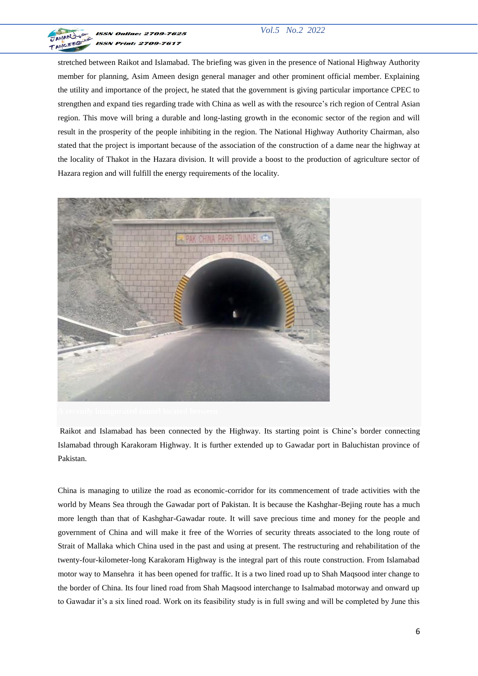

# *Vol.5 No.2 2022*

stretched between Raikot and Islamabad. The briefing was given in the presence of National Highway Authority member for planning, Asim Ameen design general manager and other prominent official member. Explaining the utility and importance of the project, he stated that the government is giving particular importance CPEC to strengthen and expand ties regarding trade with China as well as with the resource's rich region of Central Asian region. This move will bring a durable and long-lasting growth in the economic sector of the region and will result in the prosperity of the people inhibiting in the region. The National Highway Authority Chairman, also stated that the project is important because of the association of the construction of a dame near the highway at the locality of Thakot in the Hazara division. It will provide a boost to the production of agriculture sector of Hazara region and will fulfill the energy requirements of the locality.



Raikot and Islamabad has been connected by the Highway. Its starting point is Chine's border connecting Islamabad through Karakoram Highway. It is further extended up to Gawadar port in Baluchistan province of Pakistan.

China is managing to utilize the road as economic-corridor for its commencement of trade activities with the world by Means Sea through the Gawadar port of Pakistan. It is because the Kashghar-Bejing route has a much more length than that of Kashghar-Gawadar route. It will save precious time and money for the people and government of China and will make it free of the Worries of security threats associated to the long route of Strait of Mallaka which China used in the past and using at present. The restructuring and rehabilitation of the twenty-four-kilometer-long Karakoram Highway is the integral part of this route construction. From Islamabad motor way to Mansehra it has been opened for traffic. It is a two lined road up to Shah Maqsood inter change to the border of China. Its four lined road from Shah Maqsood interchange to Isalmabad motorway and onward up to Gawadar it's a six lined road. Work on its feasibility study is in full swing and will be completed by June this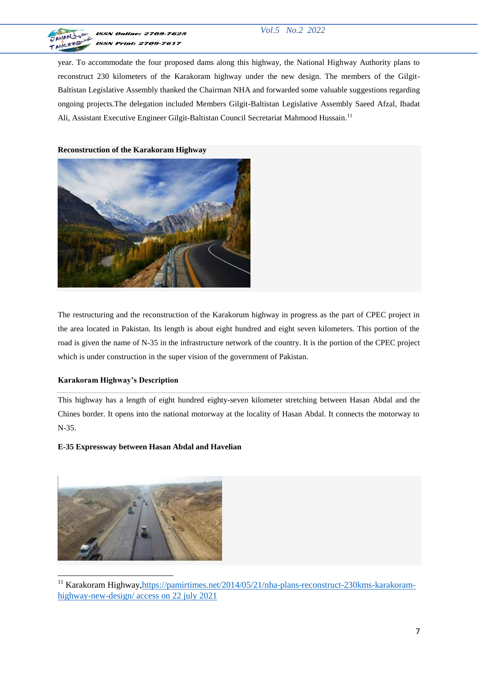

# *Vol.5 No.2 2022*

year. To accommodate the four proposed dams along this highway, the National Highway Authority plans to reconstruct 230 kilometers of the Karakoram highway under the new design. The members of the Gilgit-Baltistan Legislative Assembly thanked the Chairman NHA and forwarded some valuable suggestions regarding ongoing projects.The delegation included Members Gilgit-Baltistan Legislative Assembly Saeed Afzal, Ibadat Ali, Assistant Executive Engineer Gilgit-Baltistan Council Secretariat Mahmood Hussain.<sup>11</sup>

**Reconstruction of the Karakoram Highway**



The restructuring and the reconstruction of the Karakorum highway in progress as the part of CPEC project in the area located in Pakistan. Its length is about eight hundred and eight seven kilometers. This portion of the road is given the name of N-35 in the infrastructure network of the country. It is the portion of the CPEC project which is under construction in the super vision of the government of Pakistan.

# **Karakoram Highway's Description**

This highway has a length of eight hundred eighty-seven kilometer stretching between Hasan Abdal and the Chines border. It opens into the national motorway at the locality of Hasan Abdal. It connects the motorway to N-35.

# **E-35 Expressway between Hasan Abdal and Havelian**



<sup>&</sup>lt;sup>11</sup> Karakoram Highway[,https://pamirtimes.net/2014/05/21/nha-plans-reconstruct-230kms-karakoram](https://pamirtimes.net/2014/05/21/nha-plans-reconstruct-230kms-karakoram-highway-new-design/)[highway-new-design/](https://pamirtimes.net/2014/05/21/nha-plans-reconstruct-230kms-karakoram-highway-new-design/) access on 22 july 2021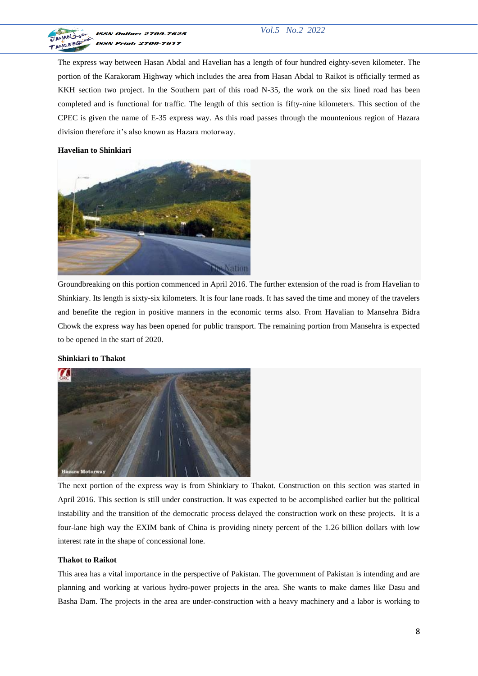

The express way between Hasan Abdal and Havelian has a length of four hundred eighty-seven kilometer. The portion of the Karakoram Highway which includes the area from Hasan Abdal to Raikot is officially termed as KKH section two project. In the Southern part of this road N-35, the work on the six lined road has been completed and is functional for traffic. The length of this section is fifty-nine kilometers. This section of the CPEC is given the name of E-35 express way. As this road passes through the mountenious region of Hazara division therefore it's also known as Hazara motorway.

## **Havelian to Shinkiari**



Groundbreaking on this portion commenced in April 2016. The further extension of the road is from Havelian to Shinkiary. Its length is sixty-six kilometers. It is four lane roads. It has saved the time and money of the travelers and benefite the region in positive manners in the economic terms also. From Havalian to Mansehra Bidra Chowk the express way has been opened for public transport. The remaining portion from Mansehra is expected to be opened in the start of 2020.

## **Shinkiari to Thakot**



The next portion of the express way is from Shinkiary to Thakot. Construction on this section was started in April 2016. This section is still under construction. It was expected to be accomplished earlier but the political instability and the transition of the democratic process delayed the construction work on these projects. It is a four-lane high way the EXIM bank of China is providing ninety percent of the 1.26 billion dollars with low interest rate in the shape of concessional lone.

#### **Thakot to Raikot**

This area has a vital importance in the perspective of Pakistan. The government of Pakistan is intending and are planning and working at various hydro-power projects in the area. She wants to make dames like Dasu and Basha Dam. The projects in the area are under-construction with a heavy machinery and a labor is working to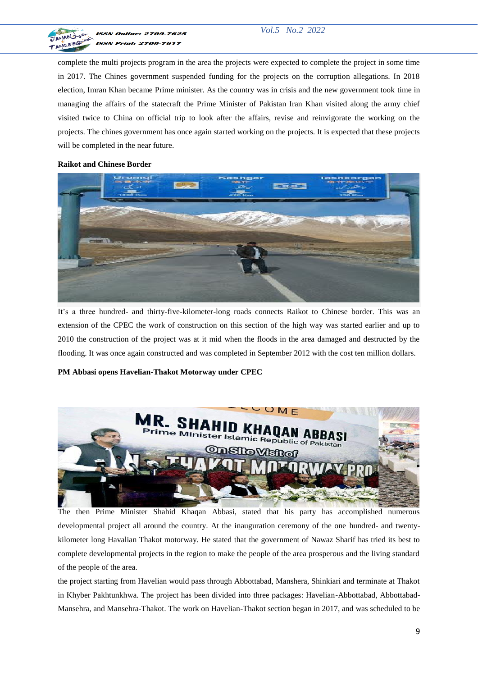

complete the multi projects program in the area the projects were expected to complete the project in some time in 2017. The Chines government suspended funding for the projects on the corruption allegations. In 2018 election, Imran Khan became Prime minister. As the country was in crisis and the new government took time in managing the affairs of the statecraft the Prime Minister of Pakistan Iran Khan visited along the army chief visited twice to China on official trip to look after the affairs, revise and reinvigorate the working on the projects. The chines government has once again started working on the projects. It is expected that these projects will be completed in the near future.

# **Raikot and Chinese Border**



It's a three hundred- and thirty-five-kilometer-long roads connects Raikot to Chinese border. This was an extension of the CPEC the work of construction on this section of the high way was started earlier and up to 2010 the construction of the project was at it mid when the floods in the area damaged and destructed by the flooding. It was once again constructed and was completed in September 2012 with the cost ten million dollars.

# **PM Abbasi opens Havelian-Thakot Motorway under CPEC**



The then Prime Minister Shahid Khaqan Abbasi, stated that his party has accomplished numerous developmental project all around the country. At the inauguration ceremony of the one hundred- and twentykilometer long Havalian Thakot motorway. He stated that the government of Nawaz Sharif has tried its best to complete developmental projects in the region to make the people of the area prosperous and the living standard of the people of the area.

the project starting from Havelian would pass through Abbottabad, Manshera, Shinkiari and terminate at Thakot in Khyber Pakhtunkhwa. The project has been divided into three packages: Havelian-Abbottabad, Abbottabad-Mansehra, and Mansehra-Thakot. The work on Havelian-Thakot section began in 2017, and was scheduled to be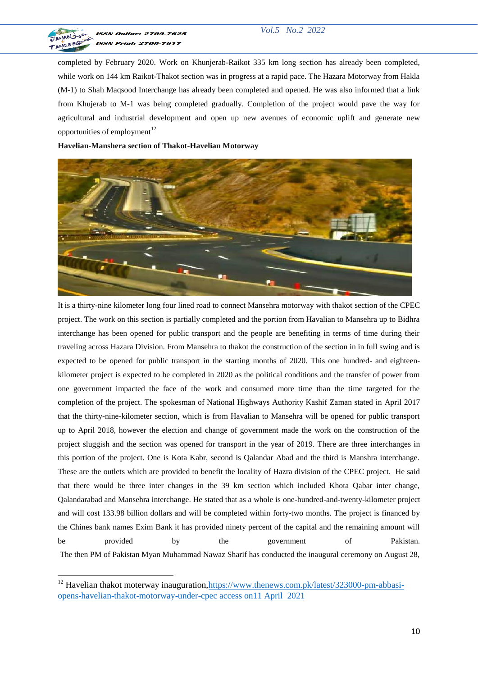

**ISSN Online: 2709-7625 ISSN Print: 2709-7617** 

completed by February 2020. Work on Khunjerab-Raikot 335 km long section has already been completed, while work on 144 km Raikot-Thakot section was in progress at a rapid pace. The Hazara Motorway from Hakla (M-1) to Shah Maqsood Interchange has already been completed and opened. He was also informed that a link from Khujerab to M-1 was being completed gradually. Completion of the project would pave the way for agricultural and industrial development and open up new avenues of economic uplift and generate new opportunities of employment $^{12}$ 

**Havelian-Manshera section of Thakot-Havelian Motorway**



It is a thirty-nine kilometer long four lined road to connect Mansehra motorway with thakot section of the CPEC project. The work on this section is partially completed and the portion from Havalian to Mansehra up to Bidhra interchange has been opened for public transport and the people are benefiting in terms of time during their traveling across Hazara Division. From Mansehra to thakot the construction of the section in in full swing and is expected to be opened for public transport in the starting months of 2020. This one hundred- and eighteenkilometer project is expected to be completed in 2020 as the political conditions and the transfer of power from one government impacted the face of the work and consumed more time than the time targeted for the completion of the project. The spokesman of National Highways Authority Kashif Zaman stated in April 2017 that the thirty-nine-kilometer section, which is from Havalian to Mansehra will be opened for public transport up to April 2018, however the election and change of government made the work on the construction of the project sluggish and the section was opened for transport in the year of 2019. There are three interchanges in this portion of the project. One is Kota Kabr, second is Qalandar Abad and the third is Manshra interchange. These are the outlets which are provided to benefit the locality of Hazra division of the CPEC project. He said that there would be three inter changes in the 39 km section which included Khota Qabar inter change, Qalandarabad and Mansehra interchange. He stated that as a whole is one-hundred-and-twenty-kilometer project and will cost 133.98 billion dollars and will be completed within forty-two months. The project is financed by the Chines bank names Exim Bank it has provided ninety percent of the capital and the remaining amount will be provided by the government of Pakistan. The then PM of Pakistan Myan Muhammad Nawaz Sharif has conducted the inaugural ceremony on August 28,

<sup>&</sup>lt;sup>12</sup> Havelian thakot moterway inauguration, https://www.thenews.com.pk/latest/323000-pm-abbasi[opens-havelian-thakot-motorway-under-cpec](https://www.thenews.com.pk/latest/323000-pm-abbasi-opens-havelian-thakot-motorway-under-cpec) access on11 April 2021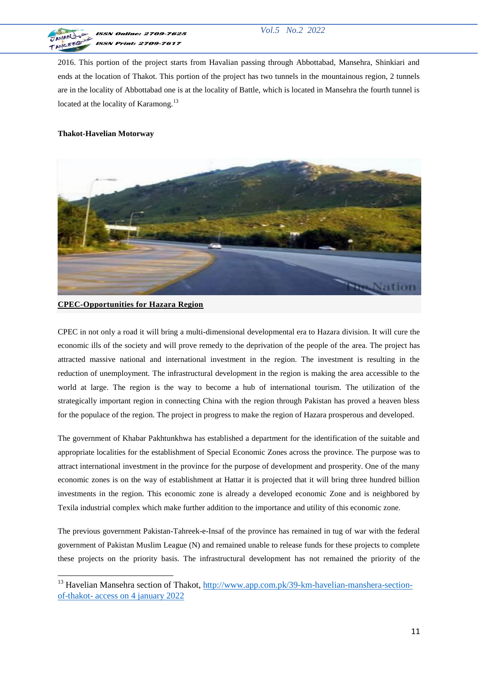

2016. This portion of the project starts from Havalian passing through Abbottabad, Mansehra, Shinkiari and ends at the location of Thakot. This portion of the project has two tunnels in the mountainous region, 2 tunnels are in the locality of Abbottabad one is at the locality of Battle, which is located in Mansehra the fourth tunnel is located at the locality of Karamong.<sup>13</sup>

# **Thakot-Havelian Motorway**



# **CPEC-Opportunities for Hazara Region**

CPEC in not only a road it will bring a multi-dimensional developmental era to Hazara division. It will cure the economic ills of the society and will prove remedy to the deprivation of the people of the area. The project has attracted massive national and international investment in the region. The investment is resulting in the reduction of unemployment. The infrastructural development in the region is making the area accessible to the world at large. The region is the way to become a hub of international tourism. The utilization of the strategically important region in connecting China with the region through Pakistan has proved a heaven bless for the populace of the region. The project in progress to make the region of Hazara prosperous and developed.

The government of Khabar Pakhtunkhwa has established a department for the identification of the suitable and appropriate localities for the establishment of Special Economic Zones across the province. The purpose was to attract international investment in the province for the purpose of development and prosperity. One of the many economic zones is on the way of establishment at Hattar it is projected that it will bring three hundred billion investments in the region. This economic zone is already a developed economic Zone and is neighbored by Texila industrial complex which make further addition to the importance and utility of this economic zone.

The previous government Pakistan-Tahreek-e-Insaf of the province has remained in tug of war with the federal government of Pakistan Muslim League (N) and remained unable to release funds for these projects to complete these projects on the priority basis. The infrastructural development has not remained the priority of the

<sup>&</sup>lt;sup>13</sup> Havelian Mansehra section of Thakot, [http://www.app.com.pk/39-km-havelian-manshera-section](http://www.app.com.pk/39-km-havelian-manshera-section-of-thakot-)[of-thakot-](http://www.app.com.pk/39-km-havelian-manshera-section-of-thakot-) access on 4 january 2022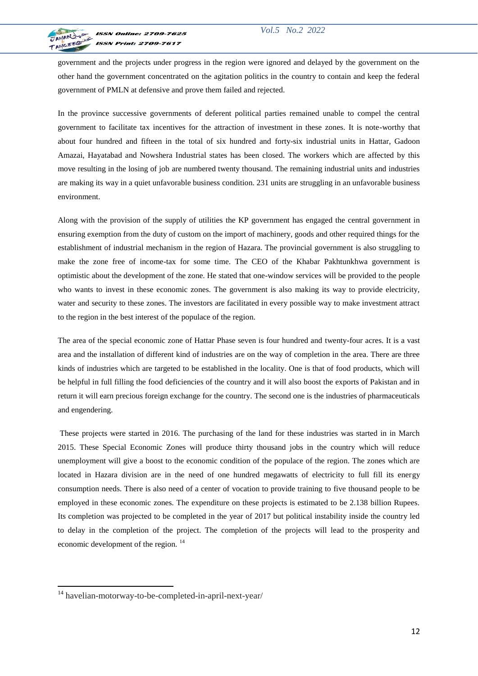

government and the projects under progress in the region were ignored and delayed by the government on the other hand the government concentrated on the agitation politics in the country to contain and keep the federal government of PMLN at defensive and prove them failed and rejected.

In the province successive governments of deferent political parties remained unable to compel the central government to facilitate tax incentives for the attraction of investment in these zones. It is note-worthy that about four hundred and fifteen in the total of six hundred and forty-six industrial units in Hattar, Gadoon Amazai, Hayatabad and Nowshera Industrial states has been closed. The workers which are affected by this move resulting in the losing of job are numbered twenty thousand. The remaining industrial units and industries are making its way in a quiet unfavorable business condition. 231 units are struggling in an unfavorable business environment.

Along with the provision of the supply of utilities the KP government has engaged the central government in ensuring exemption from the duty of custom on the import of machinery, goods and other required things for the establishment of industrial mechanism in the region of Hazara. The provincial government is also struggling to make the zone free of income-tax for some time. The CEO of the Khabar Pakhtunkhwa government is optimistic about the development of the zone. He stated that one-window services will be provided to the people who wants to invest in these economic zones. The government is also making its way to provide electricity, water and security to these zones. The investors are facilitated in every possible way to make investment attract to the region in the best interest of the populace of the region.

The area of the special economic zone of Hattar Phase seven is four hundred and twenty-four acres. It is a vast area and the installation of different kind of industries are on the way of completion in the area. There are three kinds of industries which are targeted to be established in the locality. One is that of food products, which will be helpful in full filling the food deficiencies of the country and it will also boost the exports of Pakistan and in return it will earn precious foreign exchange for the country. The second one is the industries of pharmaceuticals and engendering.

These projects were started in 2016. The purchasing of the land for these industries was started in in March 2015. These Special Economic Zones will produce thirty thousand jobs in the country which will reduce unemployment will give a boost to the economic condition of the populace of the region. The zones which are located in Hazara division are in the need of one hundred megawatts of electricity to full fill its energy consumption needs. There is also need of a center of vocation to provide training to five thousand people to be employed in these economic zones. The expenditure on these projects is estimated to be 2.138 billion Rupees. Its completion was projected to be completed in the year of 2017 but political instability inside the country led to delay in the completion of the project. The completion of the projects will lead to the prosperity and economic development of the region. <sup>14</sup>

<sup>&</sup>lt;sup>14</sup> havelian-motorway-to-be-completed-in-april-next-year/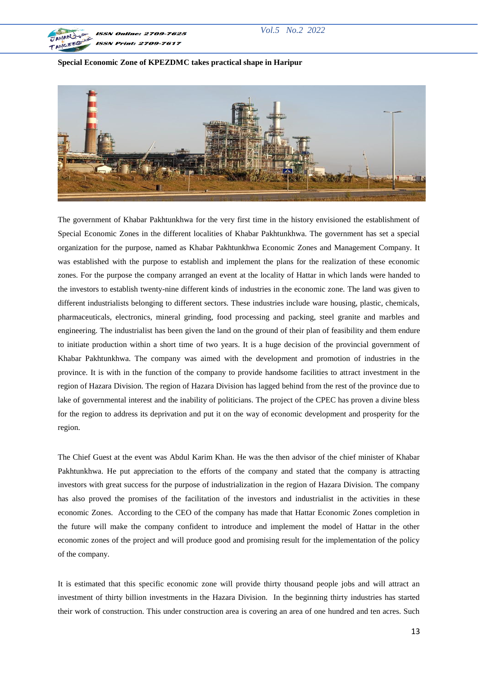

## **Special Economic Zone of KPEZDMC takes practical shape in Haripur**



The government of Khabar Pakhtunkhwa for the very first time in the history envisioned the establishment of Special Economic Zones in the different localities of Khabar Pakhtunkhwa. The government has set a special organization for the purpose, named as Khabar Pakhtunkhwa Economic Zones and Management Company. It was established with the purpose to establish and implement the plans for the realization of these economic zones. For the purpose the company arranged an event at the locality of Hattar in which lands were handed to the investors to establish twenty-nine different kinds of industries in the economic zone. The land was given to different industrialists belonging to different sectors. These industries include ware housing, plastic, chemicals, pharmaceuticals, electronics, mineral grinding, food processing and packing, steel granite and marbles and engineering. The industrialist has been given the land on the ground of their plan of feasibility and them endure to initiate production within a short time of two years. It is a huge decision of the provincial government of Khabar Pakhtunkhwa. The company was aimed with the development and promotion of industries in the province. It is with in the function of the company to provide handsome facilities to attract investment in the region of Hazara Division. The region of Hazara Division has lagged behind from the rest of the province due to lake of governmental interest and the inability of politicians. The project of the CPEC has proven a divine bless for the region to address its deprivation and put it on the way of economic development and prosperity for the region.

The Chief Guest at the event was Abdul Karim Khan. He was the then advisor of the chief minister of Khabar Pakhtunkhwa. He put appreciation to the efforts of the company and stated that the company is attracting investors with great success for the purpose of industrialization in the region of Hazara Division. The company has also proved the promises of the facilitation of the investors and industrialist in the activities in these economic Zones. According to the CEO of the company has made that Hattar Economic Zones completion in the future will make the company confident to introduce and implement the model of Hattar in the other economic zones of the project and will produce good and promising result for the implementation of the policy of the company.

It is estimated that this specific economic zone will provide thirty thousand people jobs and will attract an investment of thirty billion investments in the Hazara Division. In the beginning thirty industries has started their work of construction. This under construction area is covering an area of one hundred and ten acres. Such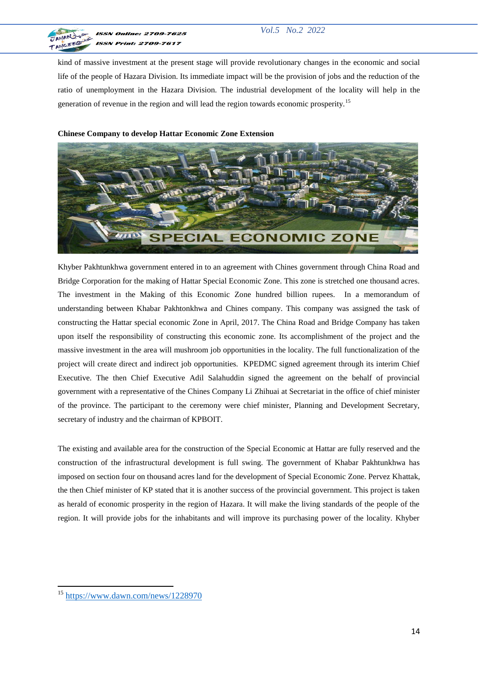

kind of massive investment at the present stage will provide revolutionary changes in the economic and social life of the people of Hazara Division. Its immediate impact will be the provision of jobs and the reduction of the ratio of unemployment in the Hazara Division. The industrial development of the locality will help in the generation of revenue in the region and will lead the region towards economic prosperity.<sup>15</sup>

# **Chinese Company to develop Hattar Economic Zone Extension**



Khyber Pakhtunkhwa government entered in to an agreement with Chines government through China Road and Bridge Corporation for the making of Hattar Special Economic Zone. This zone is stretched one thousand acres. The investment in the Making of this Economic Zone hundred billion rupees. In a memorandum of understanding between Khabar Pakhtonkhwa and Chines company. This company was assigned the task of constructing the Hattar special economic Zone in April, 2017. The China Road and Bridge Company has taken upon itself the responsibility of constructing this economic zone. Its accomplishment of the project and the massive investment in the area will mushroom job opportunities in the locality. The full functionalization of the project will create direct and indirect job opportunities. KPEDMC signed agreement through its interim Chief Executive. The then Chief Executive Adil Salahuddin signed the agreement on the behalf of provincial government with a representative of the Chines Company Li Zhihuai at Secretariat in the office of chief minister of the province. The participant to the ceremony were chief minister, Planning and Development Secretary, secretary of industry and the chairman of KPBOIT.

The existing and available area for the construction of the Special Economic at Hattar are fully reserved and the construction of the infrastructural development is full swing. The government of Khabar Pakhtunkhwa has imposed on section four on thousand acres land for the development of Special Economic Zone. Pervez Khattak, the then Chief minister of KP stated that it is another success of the provincial government. This project is taken as herald of economic prosperity in the region of Hazara. It will make the living standards of the people of the region. It will provide jobs for the inhabitants and will improve its purchasing power of the locality. Khyber

<sup>&</sup>lt;sup>15</sup> <https://www.dawn.com/news/1228970>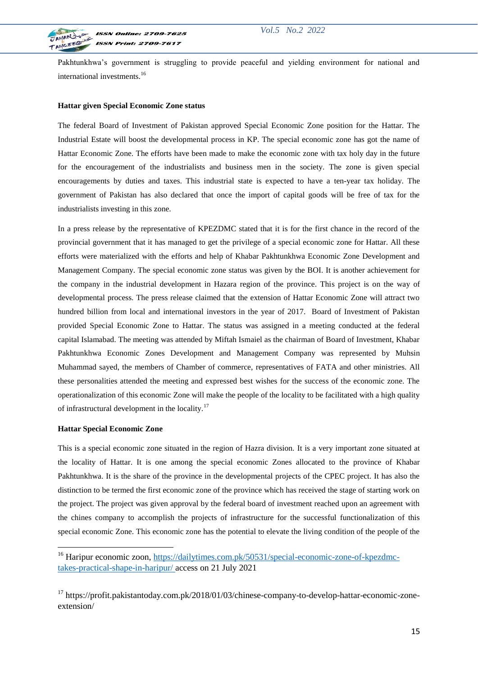

Pakhtunkhwa's government is struggling to provide peaceful and yielding environment for national and international investments.<sup>16</sup>

#### **Hattar given Special Economic Zone status**

The federal Board of Investment of Pakistan approved Special Economic Zone position for the Hattar. The Industrial Estate will boost the developmental process in KP. The special economic zone has got the name of Hattar Economic Zone. The efforts have been made to make the economic zone with tax holy day in the future for the encouragement of the industrialists and business men in the society. The zone is given special encouragements by duties and taxes. This industrial state is expected to have a ten-year tax holiday. The government of Pakistan has also declared that once the import of capital goods will be free of tax for the industrialists investing in this zone.

In a press release by the representative of KPEZDMC stated that it is for the first chance in the record of the provincial government that it has managed to get the privilege of a special economic zone for Hattar. All these efforts were materialized with the efforts and help of Khabar Pakhtunkhwa Economic Zone Development and Management Company. The special economic zone status was given by the BOI. It is another achievement for the company in the industrial development in Hazara region of the province. This project is on the way of developmental process. The press release claimed that the extension of Hattar Economic Zone will attract two hundred billion from local and international investors in the year of 2017. Board of Investment of Pakistan provided Special Economic Zone to Hattar. The status was assigned in a meeting conducted at the federal capital Islamabad. The meeting was attended by Miftah Ismaiel as the chairman of Board of Investment, Khabar Pakhtunkhwa Economic Zones Development and Management Company was represented by Muhsin Muhammad sayed, the members of Chamber of commerce, representatives of FATA and other ministries. All these personalities attended the meeting and expressed best wishes for the success of the economic zone. The operationalization of this economic Zone will make the people of the locality to be facilitated with a high quality of infrastructural development in the locality.<sup>17</sup>

#### **Hattar Special Economic Zone**

**.** 

This is a special economic zone situated in the region of Hazra division. It is a very important zone situated at the locality of Hattar. It is one among the special economic Zones allocated to the province of Khabar Pakhtunkhwa. It is the share of the province in the developmental projects of the CPEC project. It has also the distinction to be termed the first economic zone of the province which has received the stage of starting work on the project. The project was given approval by the federal board of investment reached upon an agreement with the chines company to accomplish the projects of infrastructure for the successful functionalization of this special economic Zone. This economic zone has the potential to elevate the living condition of the people of the

<sup>&</sup>lt;sup>16</sup> Haripur economic zoon, https://da<u>ilytimes.com.pk/50531/special-economic-zone-of-kpezdmc-</u> [takes-practical-shape-in-haripur/](https://dailytimes.com.pk/50531/special-economic-zone-of-kpezdmc-takes-practical-shape-in-haripur/) access on 21 July 2021

<sup>&</sup>lt;sup>17</sup> https://profit.pakistantoday.com.pk/2018/01/03/chinese-company-to-develop-hattar-economic-zoneextension/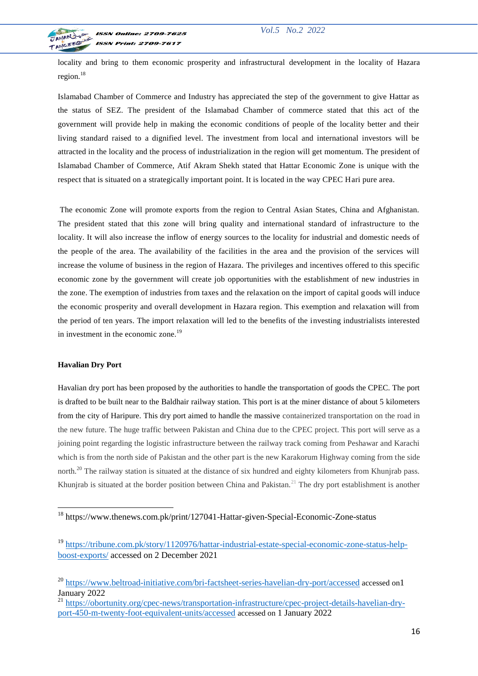

locality and bring to them economic prosperity and infrastructural development in the locality of Hazara region.<sup>18</sup>

Islamabad Chamber of Commerce and Industry has appreciated the step of the government to give Hattar as the status of SEZ. The president of the Islamabad Chamber of commerce stated that this act of the government will provide help in making the economic conditions of people of the locality better and their living standard raised to a dignified level. The investment from local and international investors will be attracted in the locality and the process of industrialization in the region will get momentum. The president of Islamabad Chamber of Commerce, Atif Akram Shekh stated that Hattar Economic Zone is unique with the respect that is situated on a strategically important point. It is located in the way CPEC Hari pure area.

The economic Zone will promote exports from the region to Central Asian States, China and Afghanistan. The president stated that this zone will bring quality and international standard of infrastructure to the locality. It will also increase the inflow of energy sources to the locality for industrial and domestic needs of the people of the area. The availability of the facilities in the area and the provision of the services will increase the volume of business in the region of Hazara. The privileges and incentives offered to this specific economic zone by the government will create job opportunities with the establishment of new industries in the zone. The exemption of industries from taxes and the relaxation on the import of capital goods will induce the economic prosperity and overall development in Hazara region. This exemption and relaxation will from the period of ten years. The import relaxation will led to the benefits of the investing industrialists interested in investment in the economic zone.<sup>19</sup>

#### **Havalian Dry Port**

1

Havalian dry port has been proposed by the authorities to handle the transportation of goods the CPEC. The port is drafted to be built near to the Baldhair railway station. This port is at the miner distance of about 5 kilometers from the city of Haripure. This dry port aimed to handle the massive containerized transportation on the road in the new future. The huge traffic between Pakistan and China due to the CPEC project. This port will serve as a joining point regarding the logistic infrastructure between the railway track coming from Peshawar and Karachi which is from the north side of Pakistan and the other part is the new Karakorum Highway coming from the side north.<sup>20</sup> The railway station is situated at the distance of six hundred and eighty kilometers from Khunjrab pass. Khunjrab is situated at the border position between China and Pakistan.<sup>21</sup> The dry port establishment is another

<sup>18</sup> https://www.thenews.com.pk/print/127041-Hattar-given-Special-Economic-Zone-status

<sup>19</sup> [https://tribune.com.pk/story/1120976/hattar-industrial-estate-special-economic-zone-status-help](https://tribune.com.pk/story/1120976/hattar-industrial-estate-special-economic-zone-status-help-boost-exports/)[boost-exports/](https://tribune.com.pk/story/1120976/hattar-industrial-estate-special-economic-zone-status-help-boost-exports/) accessed on 2 December 2021

<sup>&</sup>lt;sup>20</sup> <https://www.beltroad-initiative.com/bri-factsheet-series-havelian-dry-port/accessed> accessed on1 January 2022

<sup>&</sup>lt;sup>21</sup> [https://obortunity.org/cpec-news/transportation-infrastructure/cpec-project-details-havelian-dry](https://obortunity.org/cpec-news/transportation-infrastructure/cpec-project-details-havelian-dry-port-450-m-twenty-foot-equivalent-units/accessed)[port-450-m-twenty-foot-equivalent-units/accessed](https://obortunity.org/cpec-news/transportation-infrastructure/cpec-project-details-havelian-dry-port-450-m-twenty-foot-equivalent-units/accessed) accessed on 1 January 2022